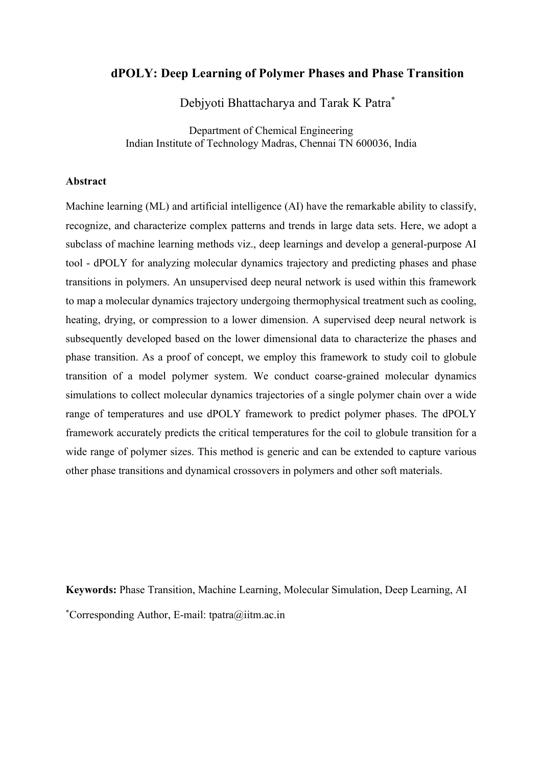# **dPOLY: Deep Learning of Polymer Phases and Phase Transition**

Debjyoti Bhattacharya and Tarak K Patra\*

Department of Chemical Engineering Indian Institute of Technology Madras, Chennai TN 600036, India

#### **Abstract**

Machine learning (ML) and artificial intelligence (AI) have the remarkable ability to classify, recognize, and characterize complex patterns and trends in large data sets. Here, we adopt a subclass of machine learning methods viz., deep learnings and develop a general-purpose AI tool - dPOLY for analyzing molecular dynamics trajectory and predicting phases and phase transitions in polymers. An unsupervised deep neural network is used within this framework to map a molecular dynamics trajectory undergoing thermophysical treatment such as cooling, heating, drying, or compression to a lower dimension. A supervised deep neural network is subsequently developed based on the lower dimensional data to characterize the phases and phase transition. As a proof of concept, we employ this framework to study coil to globule transition of a model polymer system. We conduct coarse-grained molecular dynamics simulations to collect molecular dynamics trajectories of a single polymer chain over a wide range of temperatures and use dPOLY framework to predict polymer phases. The dPOLY framework accurately predicts the critical temperatures for the coil to globule transition for a wide range of polymer sizes. This method is generic and can be extended to capture various other phase transitions and dynamical crossovers in polymers and other soft materials.

**Keywords:** Phase Transition, Machine Learning, Molecular Simulation, Deep Learning, AI \*Corresponding Author, E-mail: tpatra@iitm.ac.in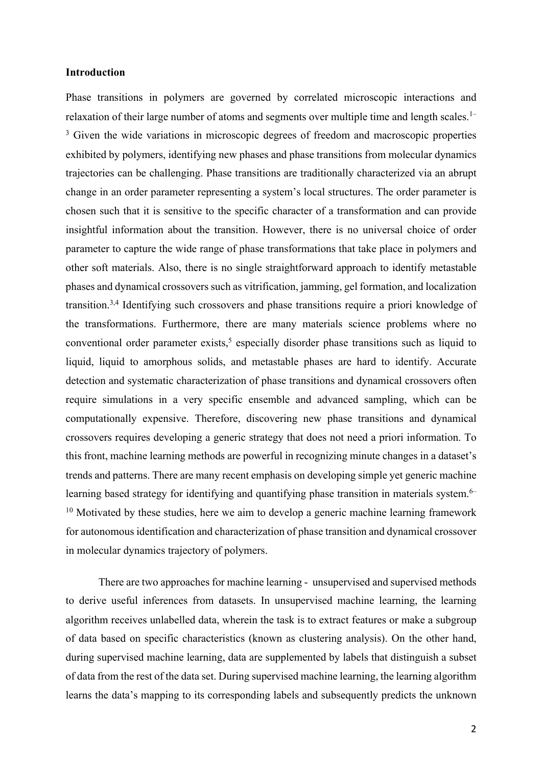### **Introduction**

Phase transitions in polymers are governed by correlated microscopic interactions and relaxation of their large number of atoms and segments over multiple time and length scales.<sup>1–</sup> <sup>3</sup> Given the wide variations in microscopic degrees of freedom and macroscopic properties exhibited by polymers, identifying new phases and phase transitions from molecular dynamics trajectories can be challenging. Phase transitions are traditionally characterized via an abrupt change in an order parameter representing a system's local structures. The order parameter is chosen such that it is sensitive to the specific character of a transformation and can provide insightful information about the transition. However, there is no universal choice of order parameter to capture the wide range of phase transformations that take place in polymers and other soft materials. Also, there is no single straightforward approach to identify metastable phases and dynamical crossovers such as vitrification, jamming, gel formation, and localization transition.3,4 Identifying such crossovers and phase transitions require a priori knowledge of the transformations. Furthermore, there are many materials science problems where no conventional order parameter exists,<sup>5</sup> especially disorder phase transitions such as liquid to liquid, liquid to amorphous solids, and metastable phases are hard to identify. Accurate detection and systematic characterization of phase transitions and dynamical crossovers often require simulations in a very specific ensemble and advanced sampling, which can be computationally expensive. Therefore, discovering new phase transitions and dynamical crossovers requires developing a generic strategy that does not need a priori information. To this front, machine learning methods are powerful in recognizing minute changes in a dataset's trends and patterns. There are many recent emphasis on developing simple yet generic machine learning based strategy for identifying and quantifying phase transition in materials system.<sup>6–</sup>  $10$  Motivated by these studies, here we aim to develop a generic machine learning framework for autonomous identification and characterization of phase transition and dynamical crossover in molecular dynamics trajectory of polymers.

There are two approaches for machine learning - unsupervised and supervised methods to derive useful inferences from datasets. In unsupervised machine learning, the learning algorithm receives unlabelled data, wherein the task is to extract features or make a subgroup of data based on specific characteristics (known as clustering analysis). On the other hand, during supervised machine learning, data are supplemented by labels that distinguish a subset of data from the rest of the data set. During supervised machine learning, the learning algorithm learns the data's mapping to its corresponding labels and subsequently predicts the unknown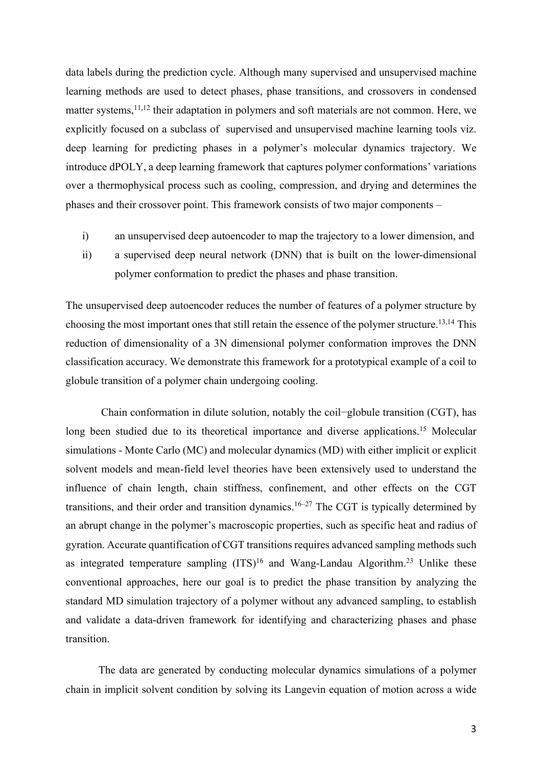data labels during the prediction cycle. Although many supervised and unsupervised machine learning methods are used to detect phases, phase transitions, and crossovers in condensed matter systems,<sup>11,12</sup> their adaptation in polymers and soft materials are not common. Here, we explicitly focused on a subclass of supervised and unsupervised machine learning tools viz. deep learning for predicting phases in a polymer's molecular dynamics trajectory. We introduce dPOLY, a deep learning framework that captures polymer conformations' variations over a thermophysical process such as cooling, compression, and drying and determines the phases and their crossover point. This framework consists of two major components –

- i) an unsupervised deep autoencoder to map the trajectory to a lower dimension, and
- ii) a supervised deep neural network (DNN) that is built on the lower-dimensional polymer conformation to predict the phases and phase transition.

The unsupervised deep autoencoder reduces the number of features of a polymer structure by choosing the most important ones that still retain the essence of the polymer structure.13,14 This reduction of dimensionality of a 3N dimensional polymer conformation improves the DNN classification accuracy. We demonstrate this framework for a prototypical example of a coil to globule transition of a polymer chain undergoing cooling.

 Chain conformation in dilute solution, notably the coil−globule transition (CGT), has long been studied due to its theoretical importance and diverse applications.<sup>15</sup> Molecular simulations - Monte Carlo (MC) and molecular dynamics (MD) with either implicit or explicit solvent models and mean-field level theories have been extensively used to understand the influence of chain length, chain stiffness, confinement, and other effects on the CGT transitions, and their order and transition dynamics.<sup>16–27</sup> The CGT is typically determined by an abrupt change in the polymer's macroscopic properties, such as specific heat and radius of gyration. Accurate quantification of CGT transitions requires advanced sampling methods such as integrated temperature sampling  $(ITS)^{16}$  and Wang-Landau Algorithm.<sup>23</sup> Unlike these conventional approaches, here our goal is to predict the phase transition by analyzing the standard MD simulation trajectory of a polymer without any advanced sampling, to establish and validate a data-driven framework for identifying and characterizing phases and phase transition.

The data are generated by conducting molecular dynamics simulations of a polymer chain in implicit solvent condition by solving its Langevin equation of motion across a wide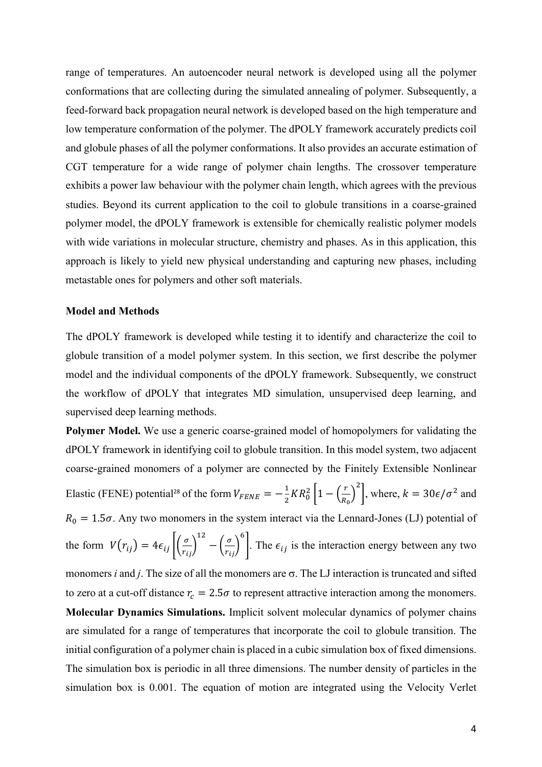range of temperatures. An autoencoder neural network is developed using all the polymer conformations that are collecting during the simulated annealing of polymer. Subsequently, a feed-forward back propagation neural network is developed based on the high temperature and low temperature conformation of the polymer. The dPOLY framework accurately predicts coil and globule phases of all the polymer conformations. It also provides an accurate estimation of CGT temperature for a wide range of polymer chain lengths. The crossover temperature exhibits a power law behaviour with the polymer chain length, which agrees with the previous studies. Beyond its current application to the coil to globule transitions in a coarse-grained polymer model, the dPOLY framework is extensible for chemically realistic polymer models with wide variations in molecular structure, chemistry and phases. As in this application, this approach is likely to yield new physical understanding and capturing new phases, including metastable ones for polymers and other soft materials.

#### **Model and Methods**

The dPOLY framework is developed while testing it to identify and characterize the coil to globule transition of a model polymer system. In this section, we first describe the polymer model and the individual components of the dPOLY framework. Subsequently, we construct the workflow of dPOLY that integrates MD simulation, unsupervised deep learning, and supervised deep learning methods.

**Polymer Model.** We use a generic coarse-grained model of homopolymers for validating the dPOLY framework in identifying coil to globule transition. In this model system, two adjacent coarse-grained monomers of a polymer are connected by the Finitely Extensible Nonlinear Elastic (FENE) potential<sup>28</sup> of the form  $V_{FENE} = -\frac{1}{2}$  $\frac{1}{2}KR_0^2\left[1-\left(\frac{r}{R_0}\right)\right]$  $\frac{1}{R_0}$ <sup>2</sup>, where,  $k = 30\epsilon/\sigma^2$  and  $R_0 = 1.5\sigma$ . Any two monomers in the system interact via the Lennard-Jones (LJ) potential of the form  $V(r_{ij}) = 4\epsilon_{ij} \left| \left( \frac{\sigma}{r_{ij}} \right) \right|$ 12  $-\left(\frac{\sigma}{r_{ij}}\right)$ , . The  $\epsilon_{ij}$  is the interaction energy between any two monomers *i* and *j*. The size of all the monomers are  $\sigma$ . The LJ interaction is truncated and sifted to zero at a cut-off distance  $r_c = 2.5\sigma$  to represent attractive interaction among the monomers. **Molecular Dynamics Simulations.** Implicit solvent molecular dynamics of polymer chains are simulated for a range of temperatures that incorporate the coil to globule transition. The initial configuration of a polymer chain is placed in a cubic simulation box of fixed dimensions. The simulation box is periodic in all three dimensions. The number density of particles in the simulation box is 0.001. The equation of motion are integrated using the Velocity Verlet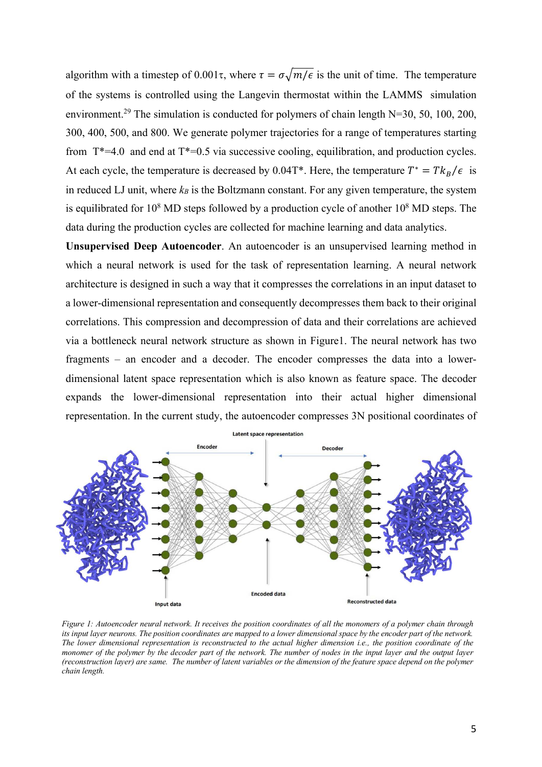algorithm with a timestep of 0.001 $\tau$ , where  $\tau = \sigma \sqrt{m/\epsilon}$  is the unit of time. The temperature of the systems is controlled using the Langevin thermostat within the LAMMS simulation environment.<sup>29</sup> The simulation is conducted for polymers of chain length N=30, 50, 100, 200, 300, 400, 500, and 800. We generate polymer trajectories for a range of temperatures starting from  $T^*=4.0$  and end at  $T^*=0.5$  via successive cooling, equilibration, and production cycles. At each cycle, the temperature is decreased by 0.04T<sup>\*</sup>. Here, the temperature  $T^* = T k_B / \epsilon$  is in reduced LJ unit, where  $k_B$  is the Boltzmann constant. For any given temperature, the system is equilibrated for  $10^8$  MD steps followed by a production cycle of another  $10^8$  MD steps. The data during the production cycles are collected for machine learning and data analytics.

**Unsupervised Deep Autoencoder**. An autoencoder is an unsupervised learning method in which a neural network is used for the task of representation learning. A neural network architecture is designed in such a way that it compresses the correlations in an input dataset to a lower-dimensional representation and consequently decompresses them back to their original correlations. This compression and decompression of data and their correlations are achieved via a bottleneck neural network structure as shown in Figure1. The neural network has two fragments – an encoder and a decoder. The encoder compresses the data into a lowerdimensional latent space representation which is also known as feature space. The decoder expands the lower-dimensional representation into their actual higher dimensional representation. In the current study, the autoencoder compresses 3N positional coordinates of



*Figure 1: Autoencoder neural network. It receives the position coordinates of all the monomers of a polymer chain through its input layer neurons. The position coordinates are mapped to a lower dimensional space by the encoder part of the network. The lower dimensional representation is reconstructed to the actual higher dimension i.e., the position coordinate of the monomer of the polymer by the decoder part of the network. The number of nodes in the input layer and the output layer (reconstruction layer) are same. The number of latent variables or the dimension of the feature space depend on the polymer chain length.*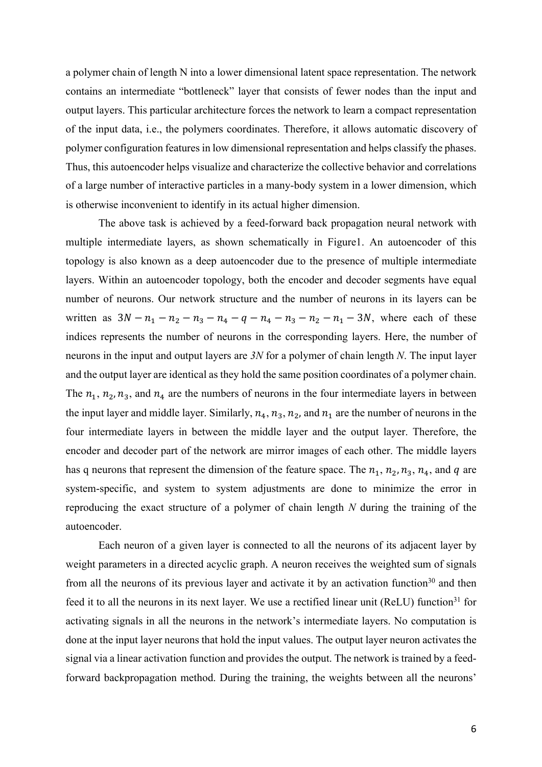a polymer chain of length N into a lower dimensional latent space representation. The network contains an intermediate "bottleneck" layer that consists of fewer nodes than the input and output layers. This particular architecture forces the network to learn a compact representation of the input data, i.e., the polymers coordinates. Therefore, it allows automatic discovery of polymer configuration features in low dimensional representation and helps classify the phases. Thus, this autoencoder helps visualize and characterize the collective behavior and correlations of a large number of interactive particles in a many-body system in a lower dimension, which is otherwise inconvenient to identify in its actual higher dimension.

The above task is achieved by a feed-forward back propagation neural network with multiple intermediate layers, as shown schematically in Figure1. An autoencoder of this topology is also known as a deep autoencoder due to the presence of multiple intermediate layers. Within an autoencoder topology, both the encoder and decoder segments have equal number of neurons. Our network structure and the number of neurons in its layers can be written as  $3N - n_1 - n_2 - n_3 - n_4 - q - n_4 - n_3 - n_2 - n_1 - 3N$ , where each of these indices represents the number of neurons in the corresponding layers. Here, the number of neurons in the input and output layers are *3N* for a polymer of chain length *N*. The input layer and the output layer are identical as they hold the same position coordinates of a polymer chain. The  $n_1$ ,  $n_2$ ,  $n_3$ , and  $n_4$  are the numbers of neurons in the four intermediate layers in between the input layer and middle layer. Similarly,  $n_4$ ,  $n_3$ ,  $n_2$ , and  $n_1$  are the number of neurons in the four intermediate layers in between the middle layer and the output layer. Therefore, the encoder and decoder part of the network are mirror images of each other. The middle layers has q neurons that represent the dimension of the feature space. The  $n_1$ ,  $n_2$ ,  $n_3$ ,  $n_4$ , and  $q$  are system-specific, and system to system adjustments are done to minimize the error in reproducing the exact structure of a polymer of chain length *N* during the training of the autoencoder.

Each neuron of a given layer is connected to all the neurons of its adjacent layer by weight parameters in a directed acyclic graph. A neuron receives the weighted sum of signals from all the neurons of its previous layer and activate it by an activation function<sup>30</sup> and then feed it to all the neurons in its next layer. We use a rectified linear unit (ReLU) function<sup>31</sup> for activating signals in all the neurons in the network's intermediate layers. No computation is done at the input layer neurons that hold the input values. The output layer neuron activates the signal via a linear activation function and provides the output. The network is trained by a feedforward backpropagation method. During the training, the weights between all the neurons'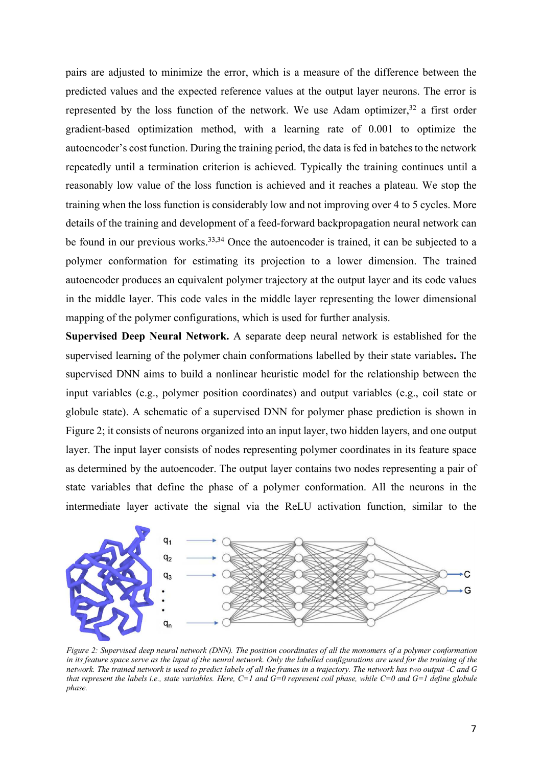pairs are adjusted to minimize the error, which is a measure of the difference between the predicted values and the expected reference values at the output layer neurons. The error is represented by the loss function of the network. We use Adam optimizer,  $32$  a first order gradient-based optimization method, with a learning rate of 0.001 to optimize the autoencoder's cost function. During the training period, the data is fed in batches to the network repeatedly until a termination criterion is achieved. Typically the training continues until a reasonably low value of the loss function is achieved and it reaches a plateau. We stop the training when the loss function is considerably low and not improving over 4 to 5 cycles. More details of the training and development of a feed-forward backpropagation neural network can be found in our previous works.<sup>33,34</sup> Once the autoencoder is trained, it can be subjected to a polymer conformation for estimating its projection to a lower dimension. The trained autoencoder produces an equivalent polymer trajectory at the output layer and its code values in the middle layer. This code vales in the middle layer representing the lower dimensional mapping of the polymer configurations, which is used for further analysis.

**Supervised Deep Neural Network.** A separate deep neural network is established for the supervised learning of the polymer chain conformations labelled by their state variables**.** The supervised DNN aims to build a nonlinear heuristic model for the relationship between the input variables (e.g., polymer position coordinates) and output variables (e.g., coil state or globule state). A schematic of a supervised DNN for polymer phase prediction is shown in Figure 2; it consists of neurons organized into an input layer, two hidden layers, and one output layer. The input layer consists of nodes representing polymer coordinates in its feature space as determined by the autoencoder. The output layer contains two nodes representing a pair of state variables that define the phase of a polymer conformation. All the neurons in the intermediate layer activate the signal via the ReLU activation function, similar to the



*Figure 2: Supervised deep neural network (DNN). The position coordinates of all the monomers of a polymer conformation*  in its feature space serve as the input of the neural network. Only the labelled configurations are used for the training of the *network. The trained network is used to predict labels of all the frames in a trajectory. The network has two output -C and G that represent the labels i.e., state variables. Here, C=1 and G=0 represent coil phase, while C=0 and G=1 define globule phase.*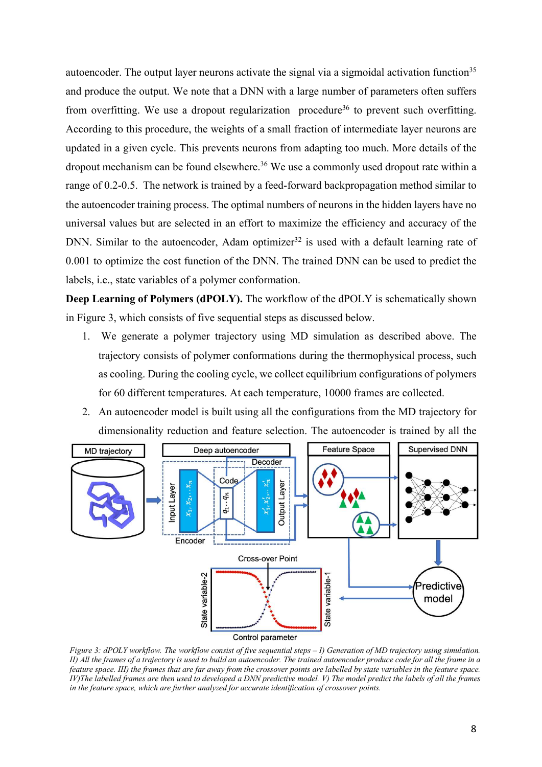autoencoder. The output layer neurons activate the signal via a sigmoidal activation function<sup>35</sup> and produce the output. We note that a DNN with a large number of parameters often suffers from overfitting. We use a dropout regularization procedure<sup>36</sup> to prevent such overfitting. According to this procedure, the weights of a small fraction of intermediate layer neurons are updated in a given cycle. This prevents neurons from adapting too much. More details of the dropout mechanism can be found elsewhere.<sup>36</sup> We use a commonly used dropout rate within a range of 0.2-0.5. The network is trained by a feed-forward backpropagation method similar to the autoencoder training process. The optimal numbers of neurons in the hidden layers have no universal values but are selected in an effort to maximize the efficiency and accuracy of the DNN. Similar to the autoencoder, Adam optimizer<sup>32</sup> is used with a default learning rate of 0.001 to optimize the cost function of the DNN. The trained DNN can be used to predict the labels, i.e., state variables of a polymer conformation.

**Deep Learning of Polymers (dPOLY).** The workflow of the dPOLY is schematically shown in Figure 3, which consists of five sequential steps as discussed below.

- 1. We generate a polymer trajectory using MD simulation as described above. The trajectory consists of polymer conformations during the thermophysical process, such as cooling. During the cooling cycle, we collect equilibrium configurations of polymers for 60 different temperatures. At each temperature, 10000 frames are collected.
- 2. An autoencoder model is built using all the configurations from the MD trajectory for dimensionality reduction and feature selection. The autoencoder is trained by all the



*Figure 3: dPOLY workflow. The workflow consist of five sequential steps – I) Generation of MD trajectory using simulation. II) All the frames of a trajectory is used to build an autoencoder. The trained autoencoder produce code for all the frame in a feature space. III) the frames that are far away from the crossover points are labelled by state variables in the feature space. IV)The labelled frames are then used to developed a DNN predictive model. V) The model predict the labels of all the frames in the feature space, which are further analyzed for accurate identification of crossover points.*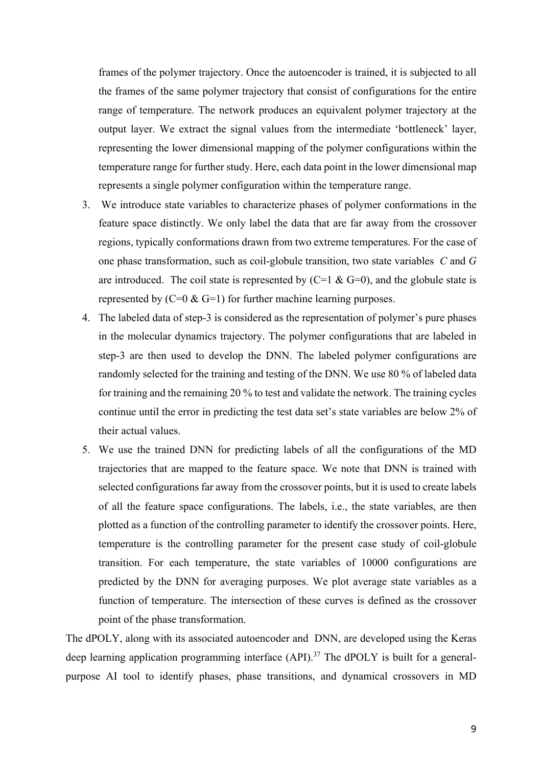frames of the polymer trajectory. Once the autoencoder is trained, it is subjected to all the frames of the same polymer trajectory that consist of configurations for the entire range of temperature. The network produces an equivalent polymer trajectory at the output layer. We extract the signal values from the intermediate 'bottleneck' layer, representing the lower dimensional mapping of the polymer configurations within the temperature range for further study. Here, each data point in the lower dimensional map represents a single polymer configuration within the temperature range.

- 3. We introduce state variables to characterize phases of polymer conformations in the feature space distinctly. We only label the data that are far away from the crossover regions, typically conformations drawn from two extreme temperatures. For the case of one phase transformation, such as coil-globule transition, two state variables *C* and *G* are introduced. The coil state is represented by  $(C=1 \& G=0)$ , and the globule state is represented by  $(C=0 \& G=1)$  for further machine learning purposes.
- 4. The labeled data of step-3 is considered as the representation of polymer's pure phases in the molecular dynamics trajectory. The polymer configurations that are labeled in step-3 are then used to develop the DNN. The labeled polymer configurations are randomly selected for the training and testing of the DNN. We use 80 % of labeled data for training and the remaining 20 % to test and validate the network. The training cycles continue until the error in predicting the test data set's state variables are below 2% of their actual values.
- 5. We use the trained DNN for predicting labels of all the configurations of the MD trajectories that are mapped to the feature space. We note that DNN is trained with selected configurations far away from the crossover points, but it is used to create labels of all the feature space configurations. The labels, i.e., the state variables, are then plotted as a function of the controlling parameter to identify the crossover points. Here, temperature is the controlling parameter for the present case study of coil-globule transition. For each temperature, the state variables of 10000 configurations are predicted by the DNN for averaging purposes. We plot average state variables as a function of temperature. The intersection of these curves is defined as the crossover point of the phase transformation.

The dPOLY, along with its associated autoencoder and DNN, are developed using the Keras deep learning application programming interface (API).<sup>37</sup> The dPOLY is built for a generalpurpose AI tool to identify phases, phase transitions, and dynamical crossovers in MD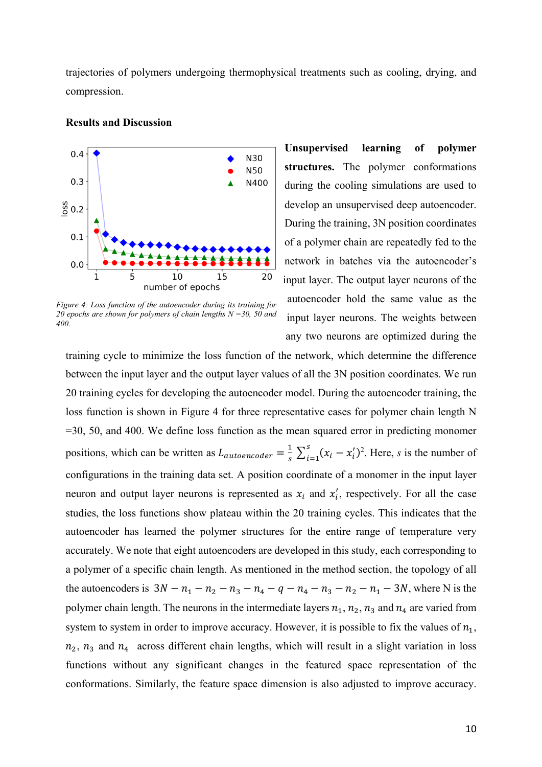trajectories of polymers undergoing thermophysical treatments such as cooling, drying, and compression.



#### **Results and Discussion**

*Figure 4: Loss function of the autoencoder during its training for 20 epochs are shown for polymers of chain lengths N =30, 50 and 400.*

**Unsupervised learning of polymer structures.** The polymer conformations during the cooling simulations are used to develop an unsupervised deep autoencoder. During the training, 3N position coordinates of a polymer chain are repeatedly fed to the network in batches via the autoencoder's input layer. The output layer neurons of the autoencoder hold the same value as the input layer neurons. The weights between any two neurons are optimized during the

training cycle to minimize the loss function of the network, which determine the difference between the input layer and the output layer values of all the 3N position coordinates. We run 20 training cycles for developing the autoencoder model. During the autoencoder training, the loss function is shown in Figure 4 for three representative cases for polymer chain length N =30, 50, and 400. We define loss function as the mean squared error in predicting monomer positions, which can be written as  $L_{autoencoder} = \frac{1}{s} \sum_{i=1}^{s} (x_i - x'_i)$  $i=1$ 2 . Here, *s* is the number of configurations in the training data set. A position coordinate of a monomer in the input layer neuron and output layer neurons is represented as  $x_i$  and  $x'_i$ , respectively. For all the case studies, the loss functions show plateau within the 20 training cycles. This indicates that the autoencoder has learned the polymer structures for the entire range of temperature very accurately. We note that eight autoencoders are developed in this study, each corresponding to a polymer of a specific chain length. As mentioned in the method section, the topology of all the autoencoders is  $3N - n_1 - n_2 - n_3 - n_4 - q - n_4 - n_3 - n_2 - n_1 - 3N$ , where N is the polymer chain length. The neurons in the intermediate layers  $n_1$ ,  $n_2$ ,  $n_3$  and  $n_4$  are varied from system to system in order to improve accuracy. However, it is possible to fix the values of  $n_1$ ,  $n_2$ ,  $n_3$  and  $n_4$  across different chain lengths, which will result in a slight variation in loss functions without any significant changes in the featured space representation of the conformations. Similarly, the feature space dimension is also adjusted to improve accuracy.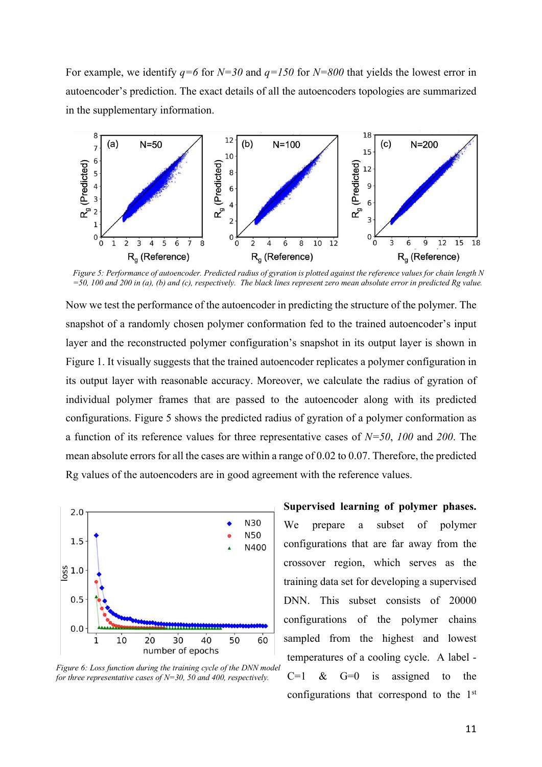For example, we identify *q=6* for *N=30* and *q=150* for *N=800* that yields the lowest error in autoencoder's prediction. The exact details of all the autoencoders topologies are summarized in the supplementary information.



*Figure 5: Performance of autoencoder. Predicted radius of gyration is plotted against the reference values for chain length N =50, 100 and 200 in (a), (b) and (c), respectively. The black lines represent zero mean absolute error in predicted Rg value.* 

Now we test the performance of the autoencoder in predicting the structure of the polymer. The snapshot of a randomly chosen polymer conformation fed to the trained autoencoder's input layer and the reconstructed polymer configuration's snapshot in its output layer is shown in Figure 1. It visually suggests that the trained autoencoder replicates a polymer configuration in its output layer with reasonable accuracy. Moreover, we calculate the radius of gyration of individual polymer frames that are passed to the autoencoder along with its predicted configurations. Figure 5 shows the predicted radius of gyration of a polymer conformation as a function of its reference values for three representative cases of *N=50*, *100* and *200*. The mean absolute errors for all the cases are within a range of 0.02 to 0.07. Therefore, the predicted Rg values of the autoencoders are in good agreement with the reference values.



*Figure 6: Loss function during the training cycle of the DNN model for three representative cases of N=30, 50 and 400, respectively.* 

**Supervised learning of polymer phases.**  We prepare a subset of polymer configurations that are far away from the crossover region, which serves as the training data set for developing a supervised DNN. This subset consists of 20000 configurations of the polymer chains sampled from the highest and lowest temperatures of a cooling cycle. A label -  $C=1$  &  $G=0$  is assigned to the configurations that correspond to the 1st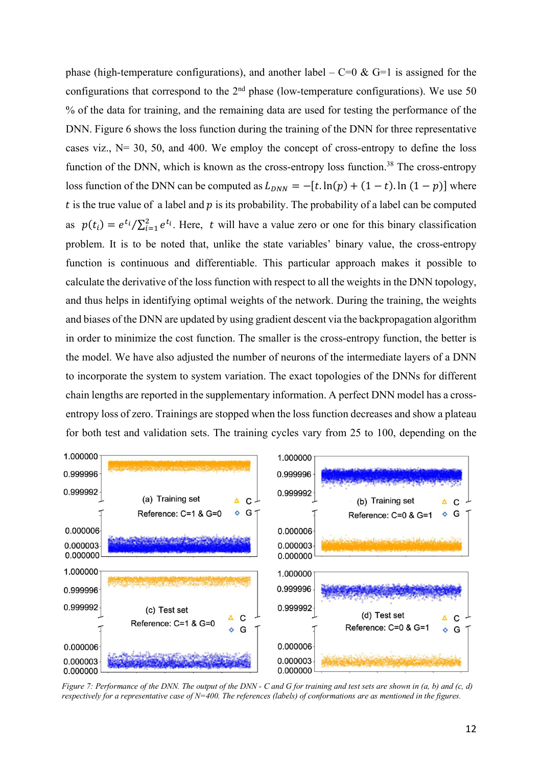phase (high-temperature configurations), and another label –  $C=0$  &  $G=1$  is assigned for the configurations that correspond to the  $2<sup>nd</sup>$  phase (low-temperature configurations). We use 50 % of the data for training, and the remaining data are used for testing the performance of the DNN. Figure 6 shows the loss function during the training of the DNN for three representative cases viz.,  $N = 30, 50,$  and 400. We employ the concept of cross-entropy to define the loss function of the DNN, which is known as the cross-entropy loss function.<sup>38</sup> The cross-entropy loss function of the DNN can be computed as  $L_{DNN} = -[t \cdot \ln(p) + (1 - t) \cdot \ln(1 - p)]$  where t is the true value of a label and  $p$  is its probability. The probability of a label can be computed as  $p(t_i) = e^{t_i} / \sum_{i=1}^2 e^{t_i}$ . Here, t will have a value zero or one for this binary classification problem. It is to be noted that, unlike the state variables' binary value, the cross-entropy function is continuous and differentiable. This particular approach makes it possible to calculate the derivative of the loss function with respect to all the weights in the DNN topology, and thus helps in identifying optimal weights of the network. During the training, the weights and biases of the DNN are updated by using gradient descent via the backpropagation algorithm in order to minimize the cost function. The smaller is the cross-entropy function, the better is the model. We have also adjusted the number of neurons of the intermediate layers of a DNN to incorporate the system to system variation. The exact topologies of the DNNs for different chain lengths are reported in the supplementary information. A perfect DNN model has a crossentropy loss of zero. Trainings are stopped when the loss function decreases and show a plateau for both test and validation sets. The training cycles vary from 25 to 100, depending on the



*Figure 7: Performance of the DNN. The output of the DNN - C and G for training and test sets are shown in (a, b) and (c, d) respectively for a representative case of N=400. The references (labels) of conformations are as mentioned in the figures.*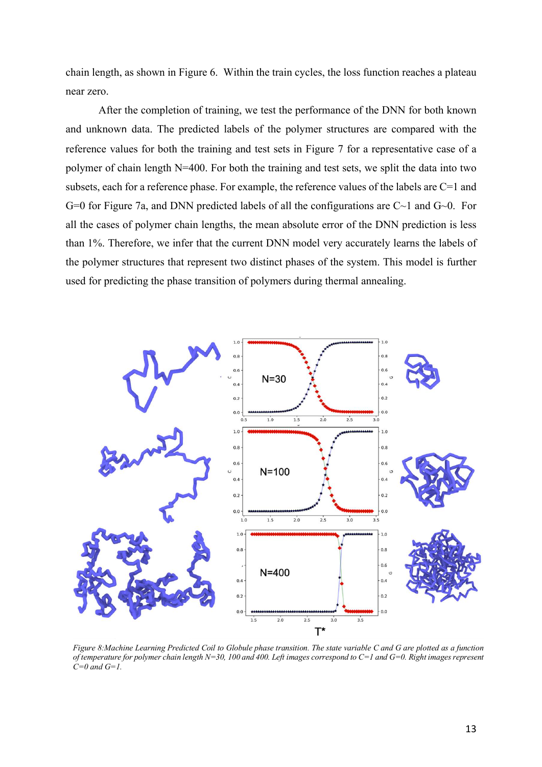chain length, as shown in Figure 6. Within the train cycles, the loss function reaches a plateau near zero.

After the completion of training, we test the performance of the DNN for both known and unknown data. The predicted labels of the polymer structures are compared with the reference values for both the training and test sets in Figure 7 for a representative case of a polymer of chain length N=400. For both the training and test sets, we split the data into two subsets, each for a reference phase. For example, the reference values of the labels are C=1 and G=0 for Figure 7a, and DNN predicted labels of all the configurations are  $C~1$  and  $G~0$ . For all the cases of polymer chain lengths, the mean absolute error of the DNN prediction is less than 1%. Therefore, we infer that the current DNN model very accurately learns the labels of the polymer structures that represent two distinct phases of the system. This model is further used for predicting the phase transition of polymers during thermal annealing.



*Figure 8:Machine Learning Predicted Coil to Globule phase transition. The state variable C and G are plotted as a function of temperature for polymer chain length N=30, 100 and 400. Left images correspond to C=1 and G=0. Right images represent C=0 and G=1.*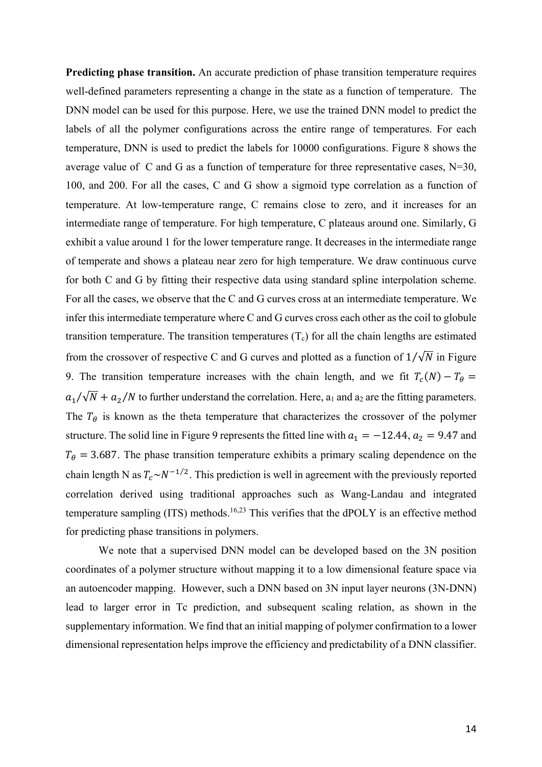**Predicting phase transition.** An accurate prediction of phase transition temperature requires well-defined parameters representing a change in the state as a function of temperature. The DNN model can be used for this purpose. Here, we use the trained DNN model to predict the labels of all the polymer configurations across the entire range of temperatures. For each temperature, DNN is used to predict the labels for 10000 configurations. Figure 8 shows the average value of C and G as a function of temperature for three representative cases,  $N=30$ , 100, and 200. For all the cases, C and G show a sigmoid type correlation as a function of temperature. At low-temperature range, C remains close to zero, and it increases for an intermediate range of temperature. For high temperature, C plateaus around one. Similarly, G exhibit a value around 1 for the lower temperature range. It decreases in the intermediate range of temperate and shows a plateau near zero for high temperature. We draw continuous curve for both C and G by fitting their respective data using standard spline interpolation scheme. For all the cases, we observe that the C and G curves cross at an intermediate temperature. We infer this intermediate temperature where C and G curves cross each other as the coil to globule transition temperature. The transition temperatures  $(T_c)$  for all the chain lengths are estimated from the crossover of respective C and G curves and plotted as a function of  $1/\sqrt{N}$  in Figure 9. The transition temperature increases with the chain length, and we fit  $T_c(N) - T_\theta =$  $a_1/\sqrt{N} + a_2/N$  to further understand the correlation. Here, a<sub>1</sub> and a<sub>2</sub> are the fitting parameters. The  $T_{\theta}$  is known as the theta temperature that characterizes the crossover of the polymer structure. The solid line in Figure 9 represents the fitted line with  $a_1 = -12.44$ ,  $a_2 = 9.47$  and  $T_{\theta} = 3.687$ . The phase transition temperature exhibits a primary scaling dependence on the chain length N as  $T_c \sim N^{-1/2}$ . This prediction is well in agreement with the previously reported correlation derived using traditional approaches such as Wang-Landau and integrated temperature sampling  $(ITS)$  methods.<sup>16,23</sup> This verifies that the dPOLY is an effective method for predicting phase transitions in polymers.

We note that a supervised DNN model can be developed based on the 3N position coordinates of a polymer structure without mapping it to a low dimensional feature space via an autoencoder mapping. However, such a DNN based on 3N input layer neurons (3N-DNN) lead to larger error in Tc prediction, and subsequent scaling relation, as shown in the supplementary information. We find that an initial mapping of polymer confirmation to a lower dimensional representation helps improve the efficiency and predictability of a DNN classifier.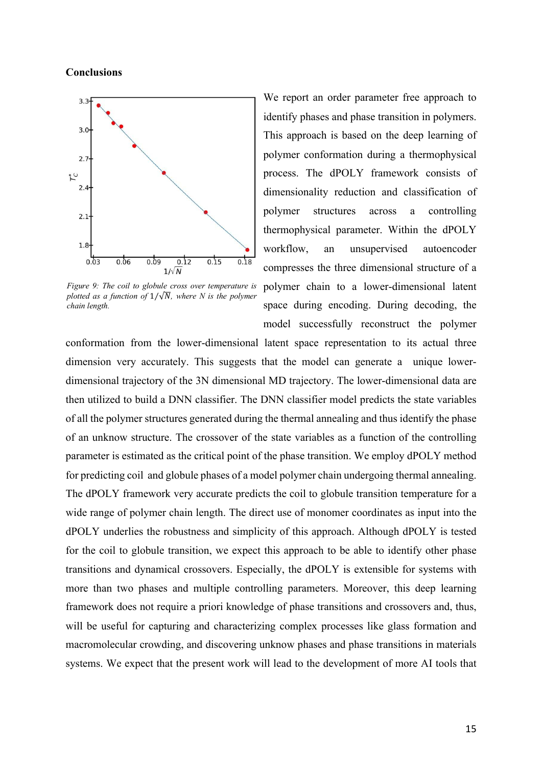### **Conclusions**



*Figure 9: The coil to globule cross over temperature is plotted as a function of*  $1/\sqrt{N}$ , where N is the polymer *chain length.* 

We report an order parameter free approach to identify phases and phase transition in polymers. This approach is based on the deep learning of polymer conformation during a thermophysical process. The dPOLY framework consists of dimensionality reduction and classification of polymer structures across a controlling thermophysical parameter. Within the dPOLY workflow, an unsupervised autoencoder compresses the three dimensional structure of a polymer chain to a lower-dimensional latent space during encoding. During decoding, the model successfully reconstruct the polymer

conformation from the lower-dimensional latent space representation to its actual three dimension very accurately. This suggests that the model can generate a unique lowerdimensional trajectory of the 3N dimensional MD trajectory. The lower-dimensional data are then utilized to build a DNN classifier. The DNN classifier model predicts the state variables of all the polymer structures generated during the thermal annealing and thus identify the phase of an unknow structure. The crossover of the state variables as a function of the controlling parameter is estimated as the critical point of the phase transition. We employ dPOLY method for predicting coil and globule phases of a model polymer chain undergoing thermal annealing. The dPOLY framework very accurate predicts the coil to globule transition temperature for a wide range of polymer chain length. The direct use of monomer coordinates as input into the dPOLY underlies the robustness and simplicity of this approach. Although dPOLY is tested for the coil to globule transition, we expect this approach to be able to identify other phase transitions and dynamical crossovers. Especially, the dPOLY is extensible for systems with more than two phases and multiple controlling parameters. Moreover, this deep learning framework does not require a priori knowledge of phase transitions and crossovers and, thus, will be useful for capturing and characterizing complex processes like glass formation and macromolecular crowding, and discovering unknow phases and phase transitions in materials systems. We expect that the present work will lead to the development of more AI tools that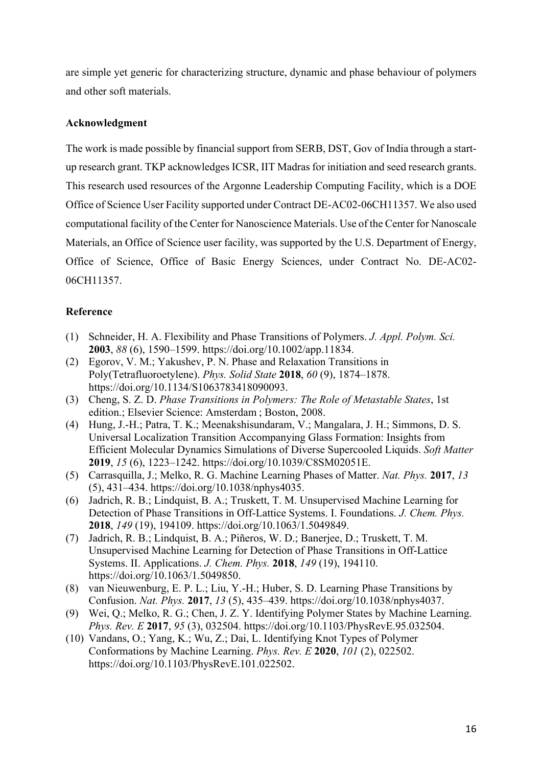are simple yet generic for characterizing structure, dynamic and phase behaviour of polymers and other soft materials.

## **Acknowledgment**

The work is made possible by financial support from SERB, DST, Gov of India through a startup research grant. TKP acknowledges ICSR, IIT Madras for initiation and seed research grants. This research used resources of the Argonne Leadership Computing Facility, which is a DOE Office of Science User Facility supported under Contract DE-AC02-06CH11357. We also used computational facility of the Center for Nanoscience Materials. Use of the Center for Nanoscale Materials, an Office of Science user facility, was supported by the U.S. Department of Energy, Office of Science, Office of Basic Energy Sciences, under Contract No. DE-AC02- 06CH11357.

# **Reference**

- (1) Schneider, H. A. Flexibility and Phase Transitions of Polymers. *J. Appl. Polym. Sci.* **2003**, *88* (6), 1590–1599. https://doi.org/10.1002/app.11834.
- (2) Egorov, V. M.; Yakushev, P. N. Phase and Relaxation Transitions in Poly(Tetrafluoroetylene). *Phys. Solid State* **2018**, *60* (9), 1874–1878. https://doi.org/10.1134/S1063783418090093.
- (3) Cheng, S. Z. D. *Phase Transitions in Polymers: The Role of Metastable States*, 1st edition.; Elsevier Science: Amsterdam ; Boston, 2008.
- (4) Hung, J.-H.; Patra, T. K.; Meenakshisundaram, V.; Mangalara, J. H.; Simmons, D. S. Universal Localization Transition Accompanying Glass Formation: Insights from Efficient Molecular Dynamics Simulations of Diverse Supercooled Liquids. *Soft Matter* **2019**, *15* (6), 1223–1242. https://doi.org/10.1039/C8SM02051E.
- (5) Carrasquilla, J.; Melko, R. G. Machine Learning Phases of Matter. *Nat. Phys.* **2017**, *13* (5), 431–434. https://doi.org/10.1038/nphys4035.
- (6) Jadrich, R. B.; Lindquist, B. A.; Truskett, T. M. Unsupervised Machine Learning for Detection of Phase Transitions in Off-Lattice Systems. I. Foundations. *J. Chem. Phys.* **2018**, *149* (19), 194109. https://doi.org/10.1063/1.5049849.
- (7) Jadrich, R. B.; Lindquist, B. A.; Piñeros, W. D.; Banerjee, D.; Truskett, T. M. Unsupervised Machine Learning for Detection of Phase Transitions in Off-Lattice Systems. II. Applications. *J. Chem. Phys.* **2018**, *149* (19), 194110. https://doi.org/10.1063/1.5049850.
- (8) van Nieuwenburg, E. P. L.; Liu, Y.-H.; Huber, S. D. Learning Phase Transitions by Confusion. *Nat. Phys.* **2017**, *13* (5), 435–439. https://doi.org/10.1038/nphys4037.
- (9) Wei, Q.; Melko, R. G.; Chen, J. Z. Y. Identifying Polymer States by Machine Learning. *Phys. Rev. E* **2017**, *95* (3), 032504. https://doi.org/10.1103/PhysRevE.95.032504.
- (10) Vandans, O.; Yang, K.; Wu, Z.; Dai, L. Identifying Knot Types of Polymer Conformations by Machine Learning. *Phys. Rev. E* **2020**, *101* (2), 022502. https://doi.org/10.1103/PhysRevE.101.022502.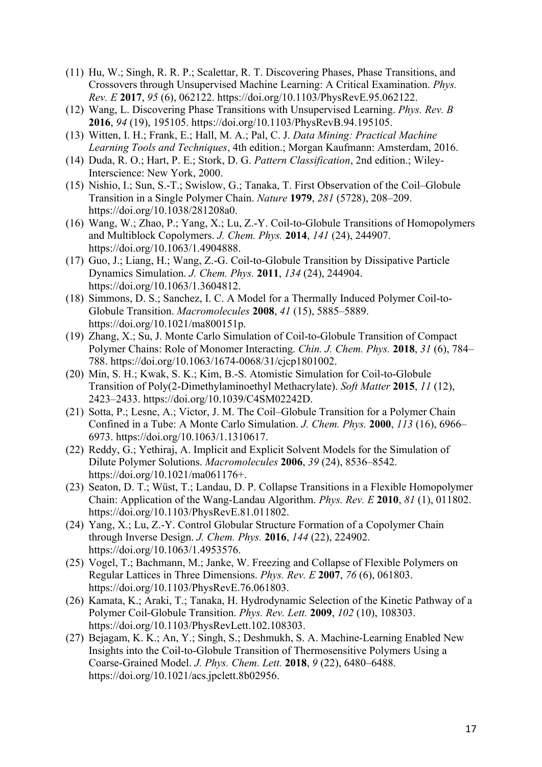- (11) Hu, W.; Singh, R. R. P.; Scalettar, R. T. Discovering Phases, Phase Transitions, and Crossovers through Unsupervised Machine Learning: A Critical Examination. *Phys. Rev. E* **2017**, *95* (6), 062122. https://doi.org/10.1103/PhysRevE.95.062122.
- (12) Wang, L. Discovering Phase Transitions with Unsupervised Learning. *Phys. Rev. B* **2016**, *94* (19), 195105. https://doi.org/10.1103/PhysRevB.94.195105.
- (13) Witten, I. H.; Frank, E.; Hall, M. A.; Pal, C. J. *Data Mining: Practical Machine Learning Tools and Techniques*, 4th edition.; Morgan Kaufmann: Amsterdam, 2016.
- (14) Duda, R. O.; Hart, P. E.; Stork, D. G. *Pattern Classification*, 2nd edition.; Wiley-Interscience: New York, 2000.
- (15) Nishio, I.; Sun, S.-T.; Swislow, G.; Tanaka, T. First Observation of the Coil–Globule Transition in a Single Polymer Chain. *Nature* **1979**, *281* (5728), 208–209. https://doi.org/10.1038/281208a0.
- (16) Wang, W.; Zhao, P.; Yang, X.; Lu, Z.-Y. Coil-to-Globule Transitions of Homopolymers and Multiblock Copolymers. *J. Chem. Phys.* **2014**, *141* (24), 244907. https://doi.org/10.1063/1.4904888.
- (17) Guo, J.; Liang, H.; Wang, Z.-G. Coil-to-Globule Transition by Dissipative Particle Dynamics Simulation. *J. Chem. Phys.* **2011**, *134* (24), 244904. https://doi.org/10.1063/1.3604812.
- (18) Simmons, D. S.; Sanchez, I. C. A Model for a Thermally Induced Polymer Coil-to-Globule Transition. *Macromolecules* **2008**, *41* (15), 5885–5889. https://doi.org/10.1021/ma800151p.
- (19) Zhang, X.; Su, J. Monte Carlo Simulation of Coil-to-Globule Transition of Compact Polymer Chains: Role of Monomer Interacting. *Chin. J. Chem. Phys.* **2018**, *31* (6), 784– 788. https://doi.org/10.1063/1674-0068/31/cjcp1801002.
- (20) Min, S. H.; Kwak, S. K.; Kim, B.-S. Atomistic Simulation for Coil-to-Globule Transition of Poly(2-Dimethylaminoethyl Methacrylate). *Soft Matter* **2015**, *11* (12), 2423–2433. https://doi.org/10.1039/C4SM02242D.
- (21) Sotta, P.; Lesne, A.; Victor, J. M. The Coil–Globule Transition for a Polymer Chain Confined in a Tube: A Monte Carlo Simulation. *J. Chem. Phys.* **2000**, *113* (16), 6966– 6973. https://doi.org/10.1063/1.1310617.
- (22) Reddy, G.; Yethiraj, A. Implicit and Explicit Solvent Models for the Simulation of Dilute Polymer Solutions. *Macromolecules* **2006**, *39* (24), 8536–8542. https://doi.org/10.1021/ma061176+.
- (23) Seaton, D. T.; Wüst, T.; Landau, D. P. Collapse Transitions in a Flexible Homopolymer Chain: Application of the Wang-Landau Algorithm. *Phys. Rev. E* **2010**, *81* (1), 011802. https://doi.org/10.1103/PhysRevE.81.011802.
- (24) Yang, X.; Lu, Z.-Y. Control Globular Structure Formation of a Copolymer Chain through Inverse Design. *J. Chem. Phys.* **2016**, *144* (22), 224902. https://doi.org/10.1063/1.4953576.
- (25) Vogel, T.; Bachmann, M.; Janke, W. Freezing and Collapse of Flexible Polymers on Regular Lattices in Three Dimensions. *Phys. Rev. E* **2007**, *76* (6), 061803. https://doi.org/10.1103/PhysRevE.76.061803.
- (26) Kamata, K.; Araki, T.; Tanaka, H. Hydrodynamic Selection of the Kinetic Pathway of a Polymer Coil-Globule Transition. *Phys. Rev. Lett.* **2009**, *102* (10), 108303. https://doi.org/10.1103/PhysRevLett.102.108303.
- (27) Bejagam, K. K.; An, Y.; Singh, S.; Deshmukh, S. A. Machine-Learning Enabled New Insights into the Coil-to-Globule Transition of Thermosensitive Polymers Using a Coarse-Grained Model. *J. Phys. Chem. Lett.* **2018**, *9* (22), 6480–6488. https://doi.org/10.1021/acs.jpclett.8b02956.